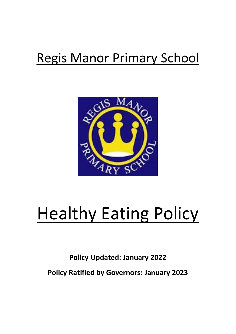## Regis Manor Primary School



# Healthy Eating Policy

### **Policy Updated: January 2022 Policy Ratified by Governors: January 2023**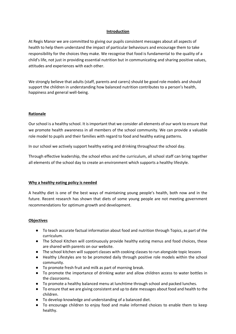#### **Introduction**

At Regis Manor we are committed to giving our pupils consistent messages about all aspects of health to help them understand the impact of particular behaviours and encourage them to take responsibility for the choices they make. We recognise that food is fundamental to the quality of a child's life, not just in providing essential nutrition but in communicating and sharing positive values, attitudes and experiences with each other.

We strongly believe that adults (staff, parents and carers) should be good role models and should support the children in understanding how balanced nutrition contributes to a person's health, happiness and general well-being.

#### **Rationale**

Our school is a healthy school. It is important that we consider all elements of our work to ensure that we promote health awareness in all members of the school community. We can provide a valuable role model to pupils and their families with regard to food and healthy eating patterns.

In our school we actively support healthy eating and drinking throughout the school day.

Through effective leadership, the school ethos and the curriculum, all school staff can bring together all elements of the school day to create an environment which supports a healthy lifestyle.

#### **Why a healthy eating policy is needed**

A healthy diet is one of the best ways of maintaining young people's health, both now and in the future. Recent research has shown that diets of some young people are not meeting government recommendations for optimum growth and development.

#### **Objectives**

- To teach accurate factual information about food and nutrition through Topics, as part of the curriculum.
- The School Kitchen will continuously provide healthy eating menus and food choices, these are shared with parents on our website.
- The school kitchen will support classes with cooking classes to run alongside topic lessons
- Healthy Lifestyles are to be promoted daily through positive role models within the school community.
- To promote fresh fruit and milk as part of morning break.
- To promote the importance of drinking water and allow children access to water bottles in the classrooms.
- To promote a healthy balanced menu at lunchtime through school and packed lunches.
- To ensure that we are giving consistent and up to date messages about food and health to the children.
- To develop knowledge and understanding of a balanced diet.
- To encourage children to enjoy food and make informed choices to enable them to keep healthy.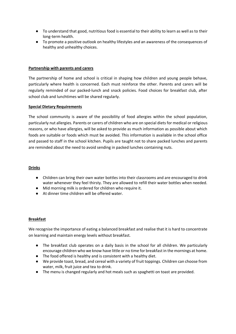- To understand that good, nutritious food is essential to their ability to learn as well as to their long-term health.
- To promote a positive outlook on healthy lifestyles and an awareness of the consequences of healthy and unhealthy choices.

#### **Partnership with parents and carers**

The partnership of home and school is critical in shaping how children and young people behave, particularly where health is concerned. Each must reinforce the other. Parents and carers will be regularly reminded of our packed-lunch and snack policies. Food choices for breakfast club, after school club and lunchtimes will be shared regularly.

#### **Special Dietary Requirements**

The school community is aware of the possibility of food allergies within the school population, particularly nut allergies. Parents or carers of children who are on special diets for medical or religious reasons, or who have allergies, will be asked to provide as much information as possible about which foods are suitable or foods which must be avoided. This information is available in the school office and passed to staff in the school kitchen. Pupils are taught not to share packed lunches and parents are reminded about the need to avoid sending in packed lunches containing nuts.

#### **Drinks**

- Children can bring their own water bottles into their classrooms and are encouraged to drink water whenever they feel thirsty. They are allowed to refill their water bottles when needed.
- Mid morning milk is ordered for children who require it.
- At dinner time children will be offered water.

#### **Breakfast**

We recognise the importance of eating a balanced breakfast and realise that it is hard to concentrate on learning and maintain energy levels without breakfast.

- The breakfast club operates on a daily basis in the school for all children. We particularly encourage children who we know have little or no time for breakfast in the mornings at home.
- The food offered is healthy and is consistent with a healthy diet.
- We provide toast, bread, and cereal with a variety of fruit toppings. Children can choose from water, milk, fruit juice and tea to drink.
- The menu is changed regularly and hot meals such as spaghetti on toast are provided.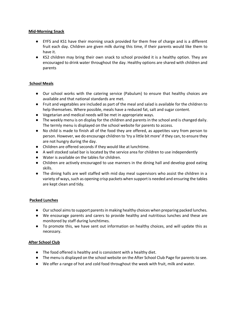#### **Mid-Morning Snack**

- EYFS and KS1 have their morning snack provided for them free of charge and is a different fruit each day. Children are given milk during this time, if their parents would like them to have it.
- KS2 children may bring their own snack to school provided it is a healthy option. They are encouraged to drink water throughout the day. Healthy options are shared with children and parents

#### **School Meals**

- Our school works with the catering service (Pabulum) to ensure that healthy choices are available and that national standards are met.
- Fruit and vegetables are included as part of the meal and salad is available for the children to help themselves. Where possible, meals have a reduced fat, salt and sugar content.
- Vegetarian and medical needs will be met in appropriate ways.
- The weekly menu is on display for the children and parents in the school and is changed daily. The termly menu is displayed on the school website for parents to access.
- No child is made to finish all of the food they are offered, as appetites vary from person to person. However, we do encourage children to 'try a little bit more' if they can, to ensure they are not hungry during the day.
- Children are offered seconds if they would like at lunchtime.
- A well stocked salad bar is located by the service area for children to use independently
- Water is available on the tables for children.
- Children are actively encouraged to use manners in the dining hall and develop good eating skills.
- The dining halls are well staffed with mid day meal supervisors who assist the children in a variety of ways, such as opening crisp packets when support is needed and ensuring the tables are kept clean and tidy.

#### **Packed Lunches**

- Our school aims to support parents in making healthy choices when preparing packed lunches.
- We encourage parents and carers to provide healthy and nutritious lunches and these are monitored by staff during lunchtimes.
- To promote this, we have sent out information on healthy choices, and will update this as necessary.

#### **After School Club**

- The food offered is healthy and is consistent with a healthy diet.
- The menu is displayed on the school website on the After School Club Page for parents to see.
- We offer a range of hot and cold food throughout the week with fruit, milk and water.